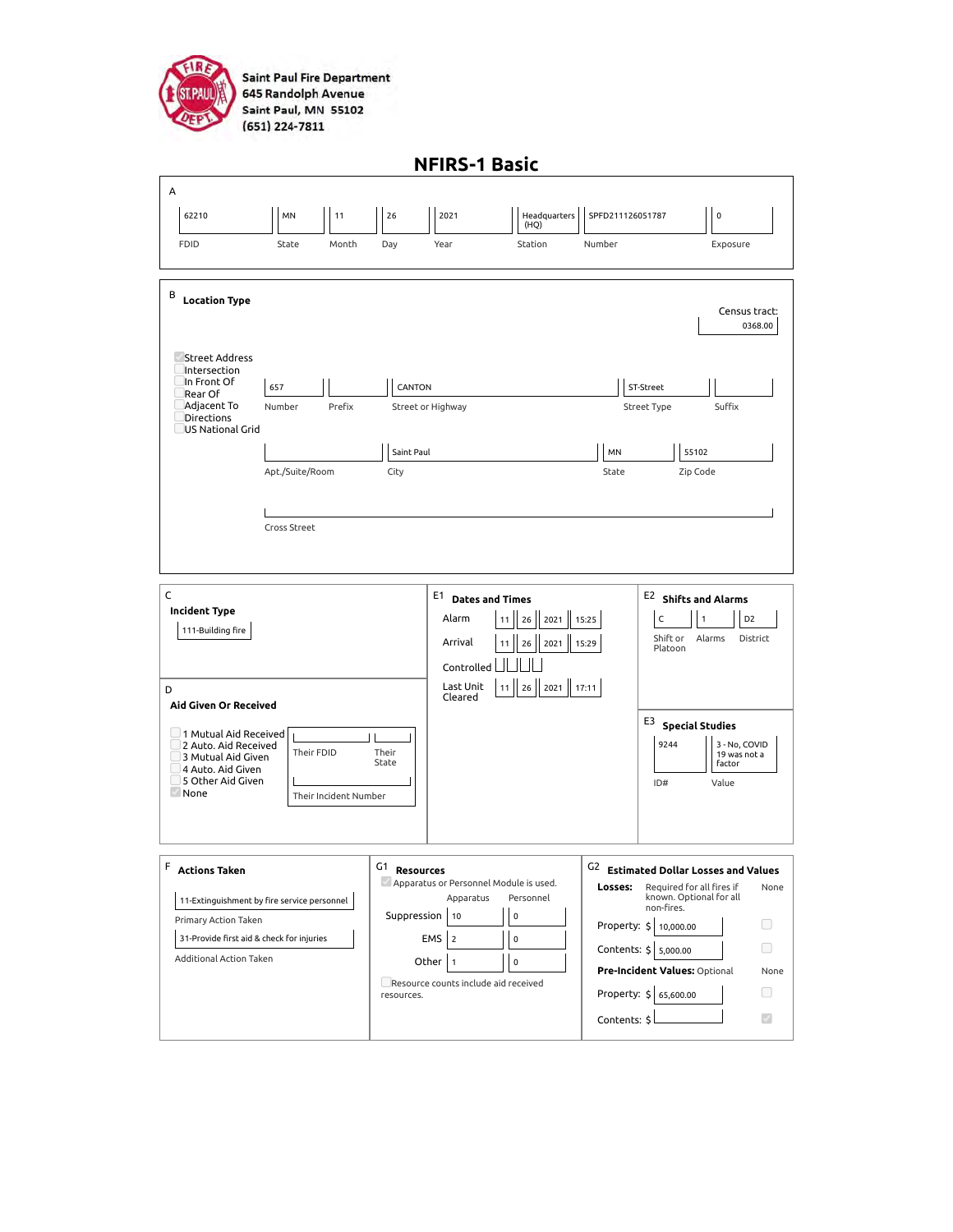

**Saint Paul Fire Department** 645 Randolph Avenue Saint Paul, MN 55102 (651) 224-7811

| <b>NFIRS-1 Basic</b>                                                                                                         |                                             |                                 |                                                                                                                                   |                                                                                                                                                                                                            |                                                                                                                        |                                                                                                                                                  |                                                  |
|------------------------------------------------------------------------------------------------------------------------------|---------------------------------------------|---------------------------------|-----------------------------------------------------------------------------------------------------------------------------------|------------------------------------------------------------------------------------------------------------------------------------------------------------------------------------------------------------|------------------------------------------------------------------------------------------------------------------------|--------------------------------------------------------------------------------------------------------------------------------------------------|--------------------------------------------------|
| А                                                                                                                            |                                             |                                 |                                                                                                                                   |                                                                                                                                                                                                            |                                                                                                                        |                                                                                                                                                  |                                                  |
| 62210                                                                                                                        | 11<br>MN                                    | 26                              | 2021                                                                                                                              | Headquarters<br>(HQ)                                                                                                                                                                                       | SPFD211126051787                                                                                                       | $\pmb{0}$                                                                                                                                        |                                                  |
| <b>FDID</b>                                                                                                                  | State<br>Month                              | Day                             | Year                                                                                                                              | Station                                                                                                                                                                                                    | Number                                                                                                                 |                                                                                                                                                  | Exposure                                         |
| В<br><b>Location Type</b><br>Street Address<br>Intersection<br>In Front Of<br>Rear Of                                        | 657                                         | CANTON                          |                                                                                                                                   |                                                                                                                                                                                                            | ST-Street                                                                                                              |                                                                                                                                                  | Census tract:<br>0368.00                         |
| Adjacent To<br>Directions<br>US National Grid                                                                                | Prefix<br>Number<br>Apt./Suite/Room         | Saint Paul<br>City              | Street or Highway                                                                                                                 |                                                                                                                                                                                                            | MN<br>State                                                                                                            | Street Type<br>55102<br>Zip Code                                                                                                                 | Suffix                                           |
|                                                                                                                              | Cross Street                                |                                 |                                                                                                                                   |                                                                                                                                                                                                            |                                                                                                                        |                                                                                                                                                  |                                                  |
| C<br>Incident Type<br>111-Building fire<br>D<br>Aid Given Or Received                                                        |                                             |                                 | E1<br>Alarm<br>Arrival<br>Controlled<br>Last Unit<br>Cleared                                                                      | E2 Shifts and Alarms<br><b>Dates and Times</b><br>C<br>D <sub>2</sub><br>2021<br>15:25<br>$\mathbf{1}$<br>11<br>26<br>Shift or<br>Alarms<br>District<br>2021<br>15:29<br>26<br>Platoon<br>11 26 2021 17:11 |                                                                                                                        |                                                                                                                                                  |                                                  |
| $\Box$ 1 Mutual Aid Received<br>2 Auto. Aid Received<br>3 Mutual Aid Given<br>4 Auto. Aid Given<br>5 Other Aid Given<br>None | Their FDID<br>Their Incident Number         | Their<br>State                  |                                                                                                                                   |                                                                                                                                                                                                            |                                                                                                                        | $^{\mathsf{E3}}$ Special Studies<br>9244<br>ID#                                                                                                  | 3 - No, COVID<br>19 was not a<br>factor<br>Value |
| F<br><b>Actions Taken</b><br>Primary Action Taken<br>31-Provide first aid & check for injuries<br>Additional Action Taken    | 11-Extinguishment by fire service personnel | G1<br>Suppression<br>resources. | <b>Resources</b><br>Apparatus<br>10<br><b>EMS</b><br>$\overline{2}$<br>Other<br>$\vert$ 1<br>Resource counts include aid received | Apparatus or Personnel Module is used.<br>Personnel<br>0<br>$\mathbf 0$<br>0                                                                                                                               | G <sub>2</sub><br>Losses:<br>Property: \$ 10,000.00<br>Contents: \$ 5,000.00<br>Property: \$ 65,600.00<br>Contents: \$ | <b>Estimated Dollar Losses and Values</b><br>Required for all fires if<br>known. Optional for all<br>non-fires.<br>Pre-Incident Values: Optional | None<br>□<br>None<br>n<br>$\mathcal{S}$          |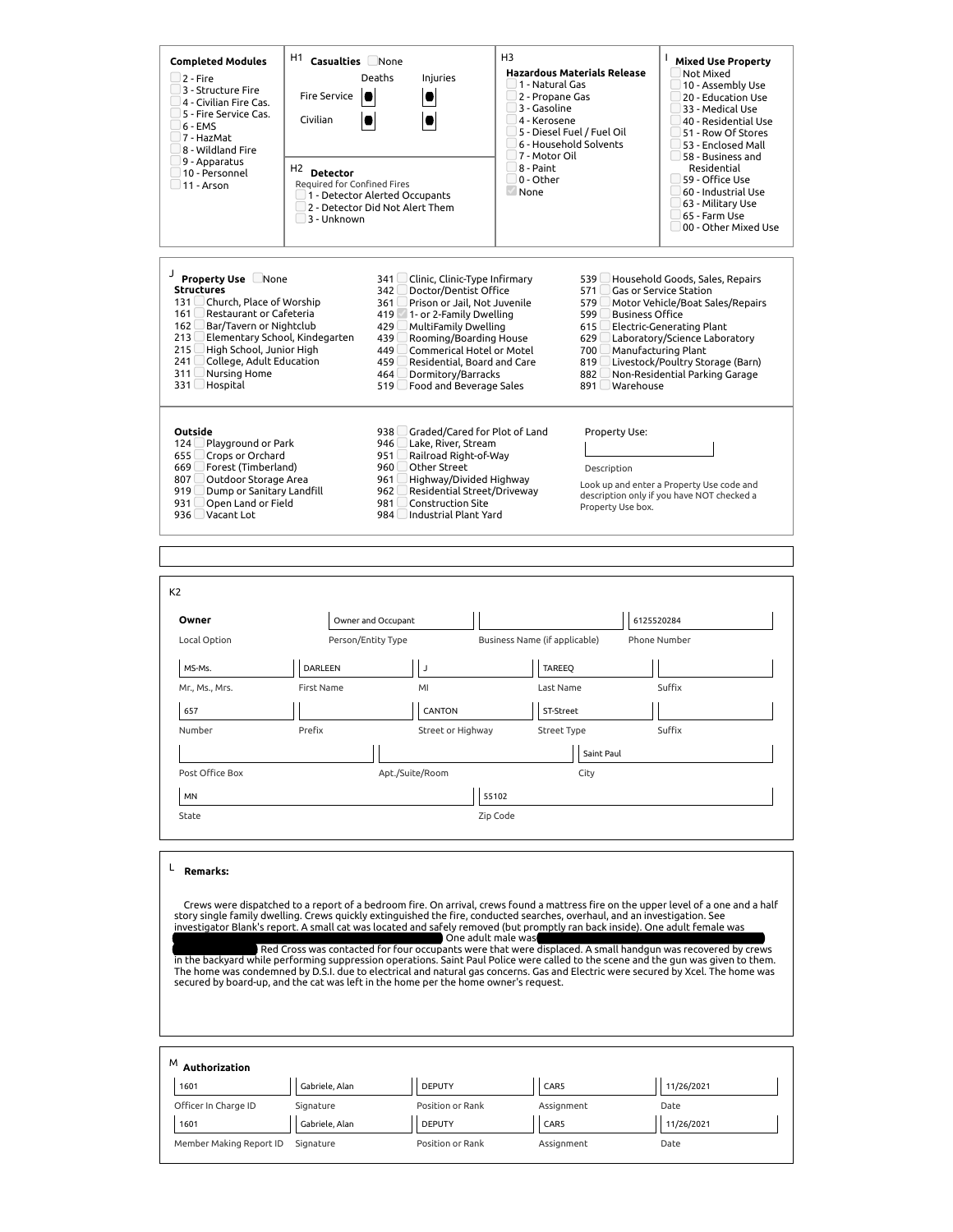| <b>Completed Modules</b><br>$2 - Fire$<br>3 - Structure Fire<br>4 - Civilian Fire Cas.<br>5 - Fire Service Cas.<br>$6 - FMS$<br>7 - HazMat<br>8 - Wildland Fire<br>9 - Apparatus<br>10 - Personnel<br>$\_11$ - Arson                                                                                                         | H1<br>Casualties None<br>Deaths<br><b>Fire Service</b><br>$\bullet$<br>Civilian<br>H <sub>2</sub> Detector<br>Required for Confined Fires<br>3 - Unknown | Injuries<br>1 - Detector Alerted Occupants<br>2 - Detector Did Not Alert Them                                                                                                                                                                                                                                                                                        | H <sub>3</sub><br><b>Hazardous Materials Release</b><br>1 - Natural Gas<br>2 - Propane Gas<br>3 - Gasoline<br>4 - Kerosene<br>5 - Diesel Fuel / Fuel Oil<br>6 - Household Solvents<br>7 - Motor Oil<br>8 - Paint<br>0 - Other<br>None                      | L<br><b>Mixed Use Property</b><br>Not Mixed<br>10 - Assembly Use<br>20 - Education Use<br>33 - Medical Use<br>40 - Residential Use<br>51 - Row Of Stores<br>53 - Enclosed Mall<br>$\Box$ 58 - Business and<br>Residential<br>59 - Office Use<br>60 - Industrial Use<br>63 - Military Use<br>65 - Farm Use<br>00 - Other Mixed Use                                                                                                                                                                                            |
|------------------------------------------------------------------------------------------------------------------------------------------------------------------------------------------------------------------------------------------------------------------------------------------------------------------------------|----------------------------------------------------------------------------------------------------------------------------------------------------------|----------------------------------------------------------------------------------------------------------------------------------------------------------------------------------------------------------------------------------------------------------------------------------------------------------------------------------------------------------------------|------------------------------------------------------------------------------------------------------------------------------------------------------------------------------------------------------------------------------------------------------------|------------------------------------------------------------------------------------------------------------------------------------------------------------------------------------------------------------------------------------------------------------------------------------------------------------------------------------------------------------------------------------------------------------------------------------------------------------------------------------------------------------------------------|
| J<br><b>Property Use None</b><br><b>Structures</b><br>Church, Place of Worship<br>131 <sup>1</sup><br>Restaurant or Cafeteria<br>161<br>162<br>Bar/Tavern or Nightclub<br>Elementary School, Kindegarten<br>213<br>High School, Junior High<br>215<br>College, Adult Education<br>241<br>Nursing Home<br>311<br>331 Hospital |                                                                                                                                                          | 341<br>Clinic, Clinic-Type Infirmary<br>Doctor/Dentist Office<br>342<br>Prison or Jail, Not Juvenile<br>361<br>419<br>1- or 2-Family Dwelling<br><b>MultiFamily Dwelling</b><br>429<br>Rooming/Boarding House<br>439<br>449<br><b>Commerical Hotel or Motel</b><br>Residential, Board and Care<br>459<br>Dormitory/Barracks<br>464<br>Food and Beverage Sales<br>519 | 571<br>579<br>599 L<br>615L<br>629<br>700<br>819 $\lfloor$<br>882<br>891 $\Box$                                                                                                                                                                            | 539 Household Goods, Sales, Repairs<br>Gas or Service Station<br>Motor Vehicle/Boat Sales/Repairs<br><b>Business Office</b><br>Electric-Generating Plant<br>Laboratory/Science Laboratory<br>Manufacturing Plant<br>Livestock/Poultry Storage (Barn)<br>Non-Residential Parking Garage<br>Warehouse                                                                                                                                                                                                                          |
| Outside<br>124<br>Playground or Park<br>655<br>Crops or Orchard<br>Forest (Timberland)<br>669 L<br>807 $\Box$<br>Outdoor Storage Area<br>Dump or Sanitary Landfill<br>919L<br>Open Land or Field<br>931<br>936 Vacant Lot                                                                                                    |                                                                                                                                                          | Graded/Cared for Plot of Land<br>938<br>Lake, River, Stream<br>946<br>951<br>Railroad Right-of-Way<br>Other Street<br>960<br>Highway/Divided Highway<br>961<br>Residential Street/Driveway<br>962<br><b>Construction Site</b><br>981<br>Industrial Plant Yard<br>984                                                                                                 | Property Use:<br>Description<br>Property Use box.                                                                                                                                                                                                          | Look up and enter a Property Use code and<br>description only if you have NOT checked a                                                                                                                                                                                                                                                                                                                                                                                                                                      |
| K <sub>2</sub><br>Owner<br>Local Option                                                                                                                                                                                                                                                                                      | Owner and Occupant<br>Person/Entity Type                                                                                                                 |                                                                                                                                                                                                                                                                                                                                                                      | Business Name (if applicable)                                                                                                                                                                                                                              | 6125520284<br>Phone Number                                                                                                                                                                                                                                                                                                                                                                                                                                                                                                   |
| MS-Ms.<br>Mr., Ms., Mrs.<br>657                                                                                                                                                                                                                                                                                              | DARLEEN<br>First Name                                                                                                                                    | $\mathsf J$<br>MI<br>CANTON                                                                                                                                                                                                                                                                                                                                          | TAREEQ<br>Last Name<br>ST-Street                                                                                                                                                                                                                           | Suffix                                                                                                                                                                                                                                                                                                                                                                                                                                                                                                                       |
| Number                                                                                                                                                                                                                                                                                                                       | Prefix                                                                                                                                                   | Street or Highway                                                                                                                                                                                                                                                                                                                                                    | <b>Street Type</b><br>Saint Paul                                                                                                                                                                                                                           | Suffix                                                                                                                                                                                                                                                                                                                                                                                                                                                                                                                       |
| Post Office Box                                                                                                                                                                                                                                                                                                              |                                                                                                                                                          | Apt./Suite/Room                                                                                                                                                                                                                                                                                                                                                      | City                                                                                                                                                                                                                                                       |                                                                                                                                                                                                                                                                                                                                                                                                                                                                                                                              |
| MN<br>State                                                                                                                                                                                                                                                                                                                  |                                                                                                                                                          | 55102<br>Zip Code                                                                                                                                                                                                                                                                                                                                                    |                                                                                                                                                                                                                                                            |                                                                                                                                                                                                                                                                                                                                                                                                                                                                                                                              |
| L<br><b>Remarks:</b>                                                                                                                                                                                                                                                                                                         |                                                                                                                                                          | One adult male was<br>secured by board-up, and the cat was left in the home per the home owner's request.                                                                                                                                                                                                                                                            | story single family dwelling. Crews quickly extinguished the fire, conducted searches, overhaul, and an investigation. See<br>investigator Blank's report. A small cat was located and safely removed (but promptly ran back inside). One adult female was | Crews were dispatched to a report of a bedroom fire. On arrival, crews found a mattress fire on the upper level of a one and a half<br>Red Cross was contacted for four occupants were that were displaced. A small handgun was recovered by crews<br>in the backyard while performing suppression operations. Saint Paul Police were called to the scene and the gun was given to them.<br>The home was condemned by D.S.I. due to electrical and natural gas concerns. Gas and Electric were secured by Xcel. The home was |
| $^{\mathsf{M}}$ Authorization<br>1601                                                                                                                                                                                                                                                                                        | Gabriele, Alan                                                                                                                                           | <b>DEPUTY</b>                                                                                                                                                                                                                                                                                                                                                        | CAR5                                                                                                                                                                                                                                                       | 11/26/2021                                                                                                                                                                                                                                                                                                                                                                                                                                                                                                                   |
| Officer In Charge ID                                                                                                                                                                                                                                                                                                         | Signature                                                                                                                                                | Position or Rank                                                                                                                                                                                                                                                                                                                                                     | Assignment                                                                                                                                                                                                                                                 | Date                                                                                                                                                                                                                                                                                                                                                                                                                                                                                                                         |
| 1601                                                                                                                                                                                                                                                                                                                         | Gabriele, Alan                                                                                                                                           | <b>DEPUTY</b>                                                                                                                                                                                                                                                                                                                                                        | CAR5                                                                                                                                                                                                                                                       | 11/26/2021                                                                                                                                                                                                                                                                                                                                                                                                                                                                                                                   |

Member Making Report ID Signature **Position of Rank** Assignment Assignment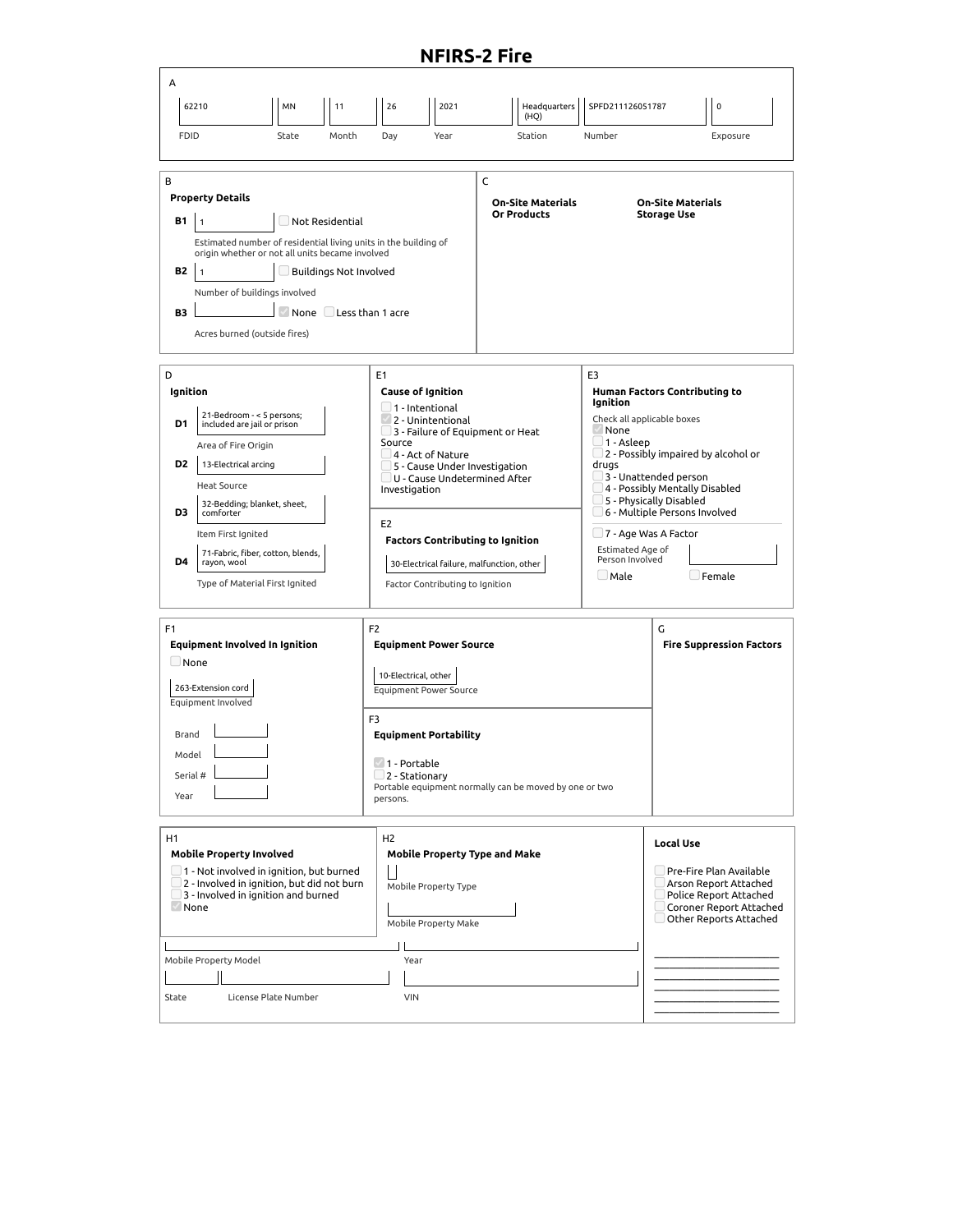## **NFIRS-2 Fire**

| А<br><b>FDID</b>                                                                                                                                                                                                                                                                                                                                                                | 62210<br>MN<br>11<br>State<br>Month                                                                                                                                                                                                                                                                   | 26<br>2021<br>Year<br>Day                                                                                                                                                                                                                                                                                                                                                                                        | Headquarters<br>(HQ)<br>Station                        | SPFD211126051787<br>Number                                                                                                                                                                                                                                                                                                                                                          | $\mathbf 0$<br>Exposure                                                                                                                                    |
|---------------------------------------------------------------------------------------------------------------------------------------------------------------------------------------------------------------------------------------------------------------------------------------------------------------------------------------------------------------------------------|-------------------------------------------------------------------------------------------------------------------------------------------------------------------------------------------------------------------------------------------------------------------------------------------------------|------------------------------------------------------------------------------------------------------------------------------------------------------------------------------------------------------------------------------------------------------------------------------------------------------------------------------------------------------------------------------------------------------------------|--------------------------------------------------------|-------------------------------------------------------------------------------------------------------------------------------------------------------------------------------------------------------------------------------------------------------------------------------------------------------------------------------------------------------------------------------------|------------------------------------------------------------------------------------------------------------------------------------------------------------|
| В<br><b>B1</b><br><b>B2</b><br>B3                                                                                                                                                                                                                                                                                                                                               | Property Details<br>Not Residential<br>$\overline{1}$<br>Estimated number of residential living units in the building of<br>origin whether or not all units became involved<br>$\Box$ Buildings Not Involved<br>Number of buildings involved<br>None Less than 1 acre<br>Acres burned (outside fires) |                                                                                                                                                                                                                                                                                                                                                                                                                  | C<br><b>On-Site Materials</b><br>Or Products           |                                                                                                                                                                                                                                                                                                                                                                                     | <b>On-Site Materials</b><br><b>Storage Use</b>                                                                                                             |
| D<br>Ignition<br>D1<br>D <sub>2</sub><br>D3<br>D4                                                                                                                                                                                                                                                                                                                               | 21-Bedroom - < 5 persons;<br>included are jail or prison<br>Area of Fire Origin<br>13-Electrical arcing<br><b>Heat Source</b><br>32-Bedding; blanket, sheet,<br>comforter<br>Item First Ignited<br>71-Fabric, fiber, cotton, blends,<br>rayon, wool<br>Type of Material First Ignited                 | E <sub>1</sub><br><b>Cause of Ignition</b><br>$\Box$ 1 - Intentional<br>2 - Unintentional<br>$\Box$ 3 - Failure of Equipment or Heat<br>Source<br>$\Box$ 4 - Act of Nature<br>5 - Cause Under Investigation<br>$\Box$ U - Cause Undetermined After<br>Investigation<br>E <sub>2</sub><br><b>Factors Contributing to Ignition</b><br>30-Electrical failure, malfunction, other<br>Factor Contributing to Ignition |                                                        | E3<br>Human Factors Contributing to<br>Ignition<br>Check all applicable boxes<br>None<br>J 1 - Asleep<br>$\Box$ 2 - Possibly impaired by alcohol or<br>drugs<br>3 - Unattended person<br>4 - Possibly Mentally Disabled<br>5 - Physically Disabled<br>6 - Multiple Persons Involved<br>⊿7 - Age Was A Factor<br>Estimated Age of<br>Person Involved<br>$\Box$ Female<br>$\Box$ Male |                                                                                                                                                            |
| F1<br>F <sub>2</sub><br><b>Equipment Involved In Ignition</b><br>$\Box$ None<br>10-Electrical, other<br>263-Extension cord<br>Equipment Involved<br>F3<br>Brand<br>Model<br>1 - Portable<br>Serial #<br>$\Box$ 2 - Stationary<br>Year<br>persons.                                                                                                                               |                                                                                                                                                                                                                                                                                                       | <b>Equipment Power Source</b><br><b>Equipment Power Source</b><br><b>Equipment Portability</b>                                                                                                                                                                                                                                                                                                                   | Portable equipment normally can be moved by one or two |                                                                                                                                                                                                                                                                                                                                                                                     | G<br><b>Fire Suppression Factors</b>                                                                                                                       |
| H <sub>2</sub><br>Η1<br><b>Mobile Property Involved</b><br><b>Mobile Property Type and Make</b><br>$\Box$ 1 - Not involved in ignition, but burned<br>2 - Involved in ignition, but did not burn<br>Mobile Property Type<br>3 - Involved in ignition and burned<br>None<br>Mobile Property Make<br>Mobile Property Model<br>Year<br><b>VIN</b><br>License Plate Number<br>State |                                                                                                                                                                                                                                                                                                       |                                                                                                                                                                                                                                                                                                                                                                                                                  |                                                        |                                                                                                                                                                                                                                                                                                                                                                                     | <b>Local Use</b><br>Pre-Fire Plan Available<br>Arson Report Attached<br>Police Report Attached<br>Coroner Report Attached<br>$\Box$ Other Reports Attached |